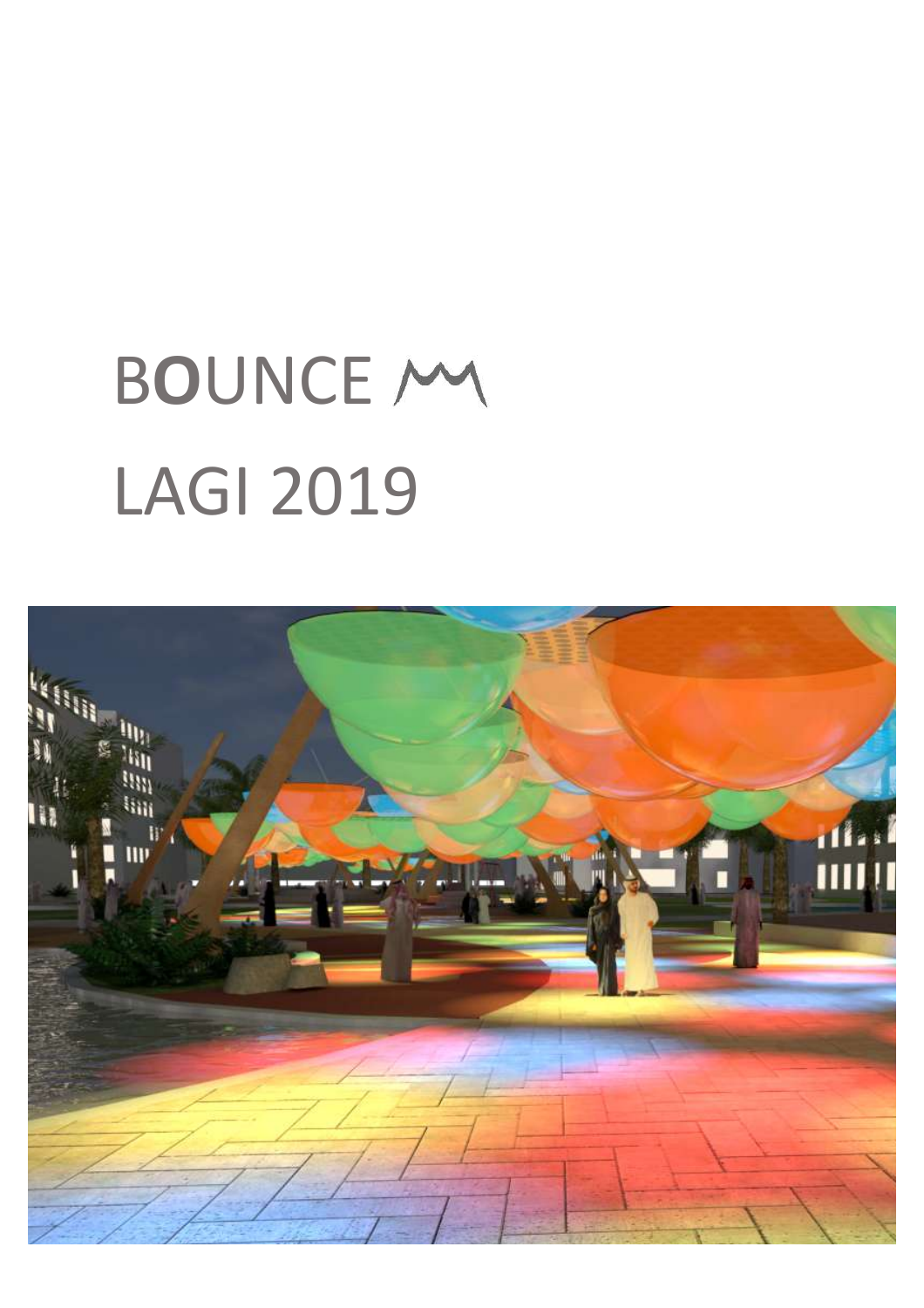# **BOUNCE MY LAGI 2019**

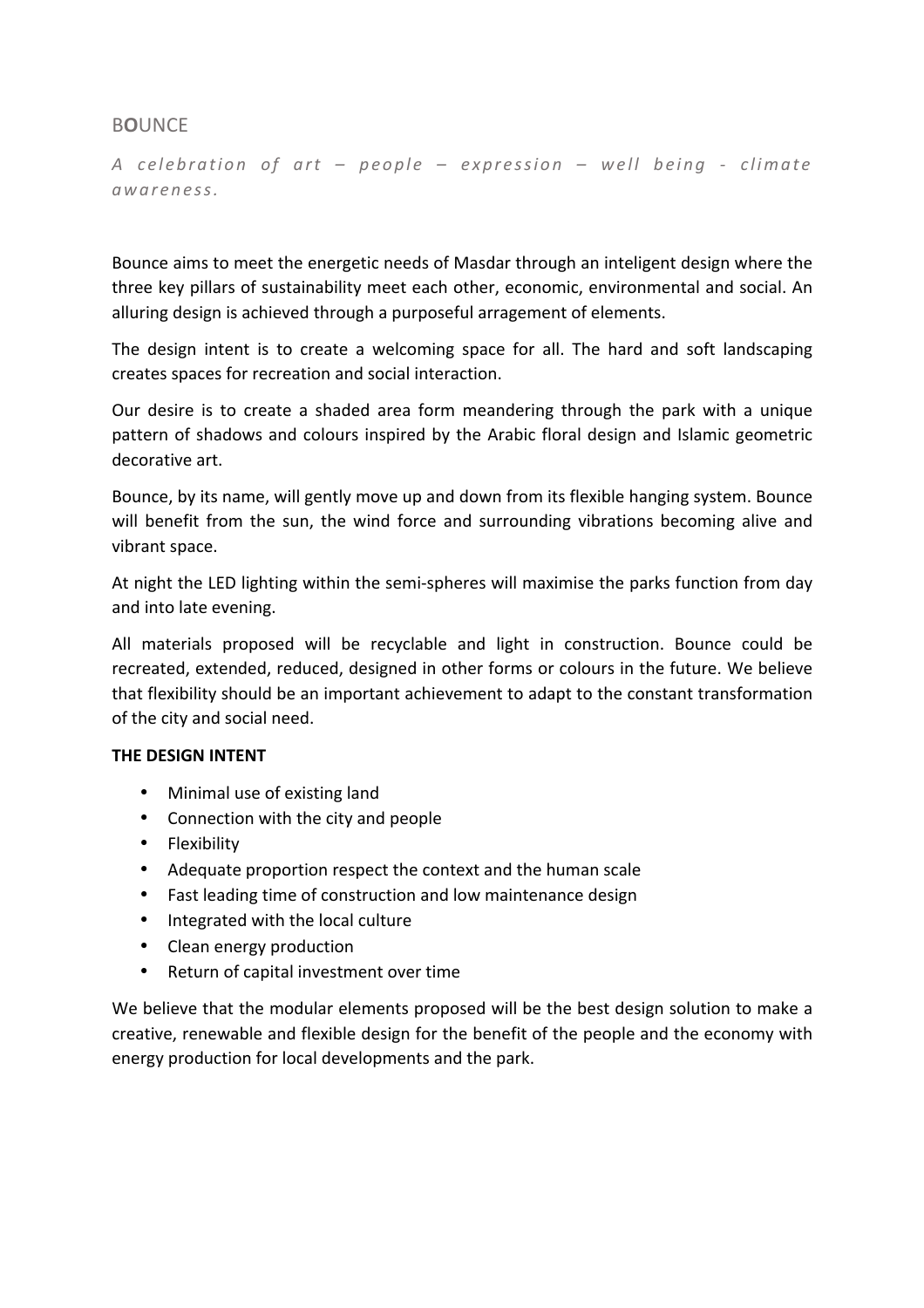# B**O**UNCE

*A celebration of art – people – expression – well being - climate awareness.*

Bounce aims to meet the energetic needs of Masdar through an inteligent design where the three key pillars of sustainability meet each other, economic, environmental and social. An alluring design is achieved through a purposeful arragement of elements.

The design intent is to create a welcoming space for all. The hard and soft landscaping creates spaces for recreation and social interaction.

Our desire is to create a shaded area form meandering through the park with a unique pattern of shadows and colours inspired by the Arabic floral design and Islamic geometric decorative art.

Bounce, by its name, will gently move up and down from its flexible hanging system. Bounce will benefit from the sun, the wind force and surrounding vibrations becoming alive and vibrant space.

At night the LED lighting within the semi-spheres will maximise the parks function from day and into late evening.

All materials proposed will be recyclable and light in construction. Bounce could be recreated, extended, reduced, designed in other forms or colours in the future. We believe that flexibility should be an important achievement to adapt to the constant transformation of the city and social need.

#### **THE DESIGN INTENT**

- Minimal use of existing land
- Connection with the city and people
- Flexibility
- Adequate proportion respect the context and the human scale
- Fast leading time of construction and low maintenance design
- Integrated with the local culture
- Clean energy production
- Return of capital investment over time

We believe that the modular elements proposed will be the best design solution to make a creative, renewable and flexible design for the benefit of the people and the economy with energy production for local developments and the park.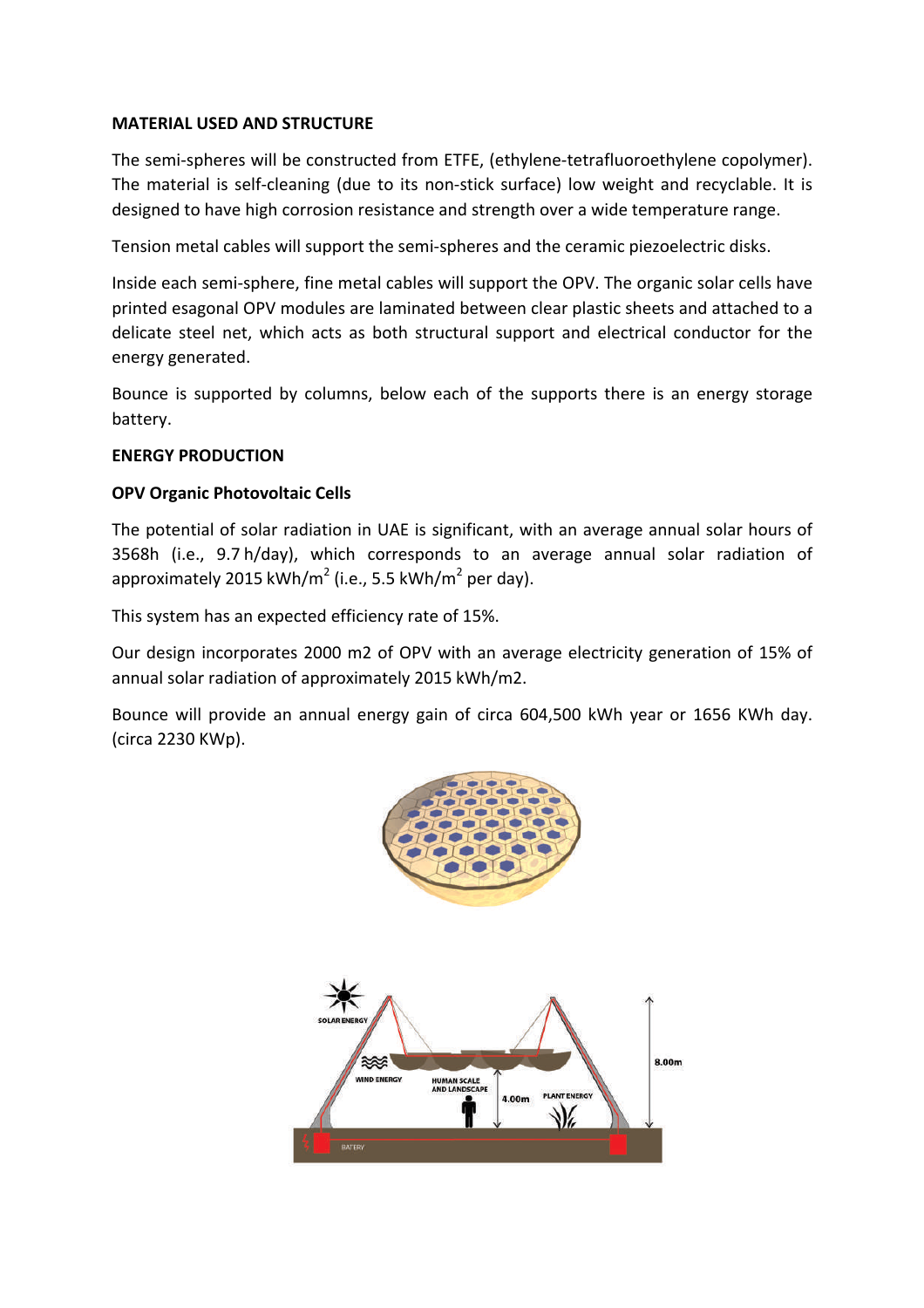## **MATERIAL USED AND STRUCTURE**

The semi-spheres will be constructed from ETFE, (ethylene-tetrafluoroethylene copolymer). The material is self-cleaning (due to its non-stick surface) low weight and recyclable. It is designed to have high corrosion resistance and strength over a wide temperature range.

Tension metal cables will support the semi-spheres and the ceramic piezoelectric disks.

Inside each semi-sphere, fine metal cables will support the OPV. The organic solar cells have printed esagonal OPV modules are laminated between clear plastic sheets and attached to a delicate steel net, which acts as both structural support and electrical conductor for the energy generated.

Bounce is supported by columns, below each of the supports there is an energy storage battery.

## **ENERGY PRODUCTION**

# **OPV Organic Photovoltaic Cells**

The potential of solar radiation in UAE is significant, with an average annual solar hours of 3568h (i.e., 9.7 h/day), which corresponds to an average annual solar radiation of approximately 2015 kWh/m<sup>2</sup> (i.e., 5.5 kWh/m<sup>2</sup> per day).

This system has an expected efficiency rate of 15%.

Our design incorporates 2000 m2 of OPV with an average electricity generation of 15% of annual solar radiation of approximately 2015 kWh/m2.

Bounce will provide an annual energy gain of circa 604,500 kWh year or 1656 KWh day. (circa 2230 KWp).

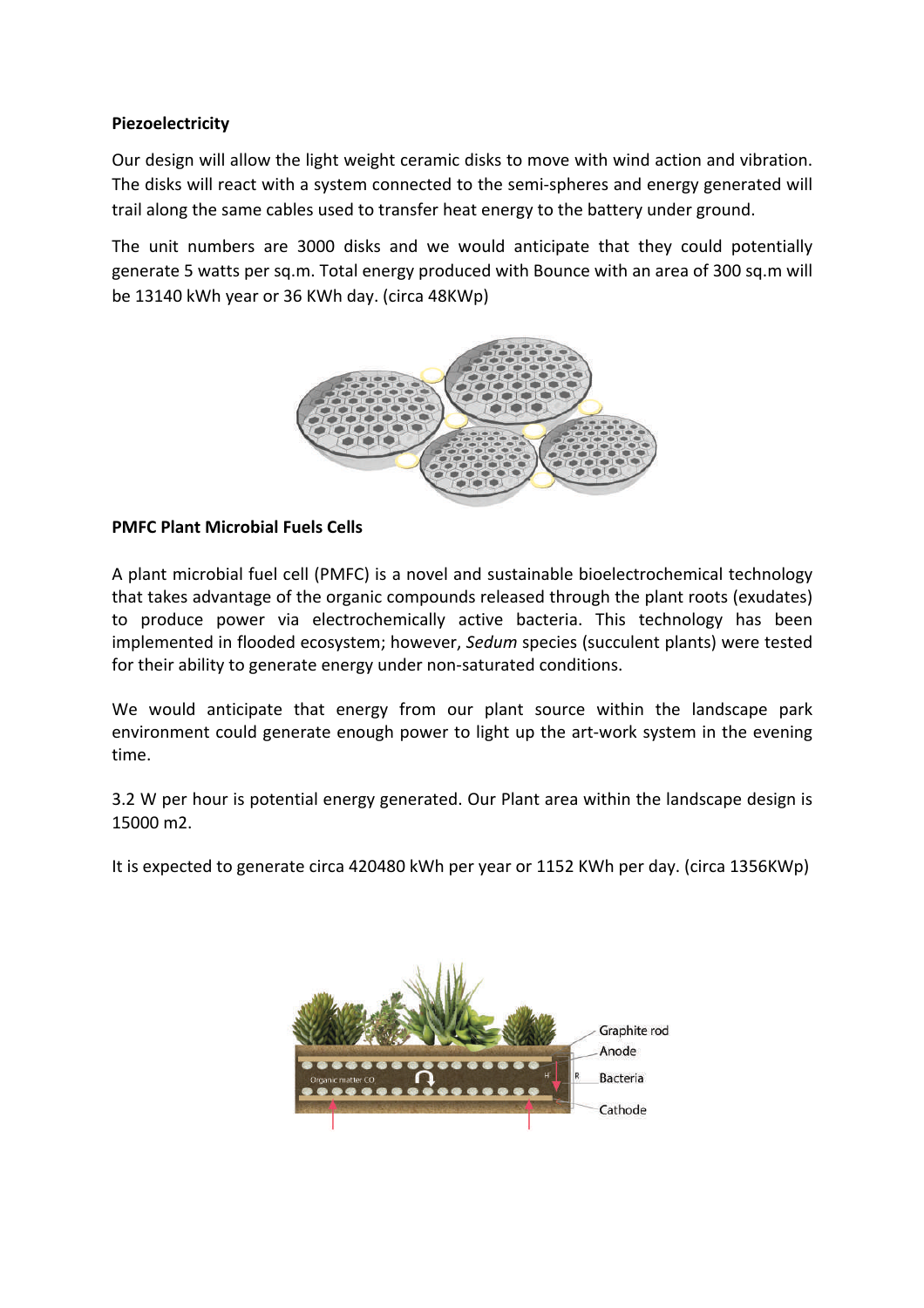# **Piezoelectricity**

Our design will allow the light weight ceramic disks to move with wind action and vibration. The disks will react with a system connected to the semi-spheres and energy generated will trail along the same cables used to transfer heat energy to the battery under ground.

The unit numbers are 3000 disks and we would anticipate that they could potentially generate 5 watts per sq.m. Total energy produced with Bounce with an area of 300 sq.m will be 13140 kWh year or 36 KWh day. (circa 48KWp)



## **PMFC Plant Microbial Fuels Cells**

A plant microbial fuel cell (PMFC) is a novel and sustainable bioelectrochemical technology that takes advantage of the organic compounds released through the plant roots (exudates) to produce power via electrochemically active bacteria. This technology has been implemented in flooded ecosystem; however, *Sedum* species (succulent plants) were tested for their ability to generate energy under non-saturated conditions.

We would anticipate that energy from our plant source within the landscape park environment could generate enough power to light up the art-work system in the evening time.

3.2 W per hour is potential energy generated. Our Plant area within the landscape design is 15000 m2.

It is expected to generate circa 420480 kWh per year or 1152 KWh per day. (circa 1356KWp)